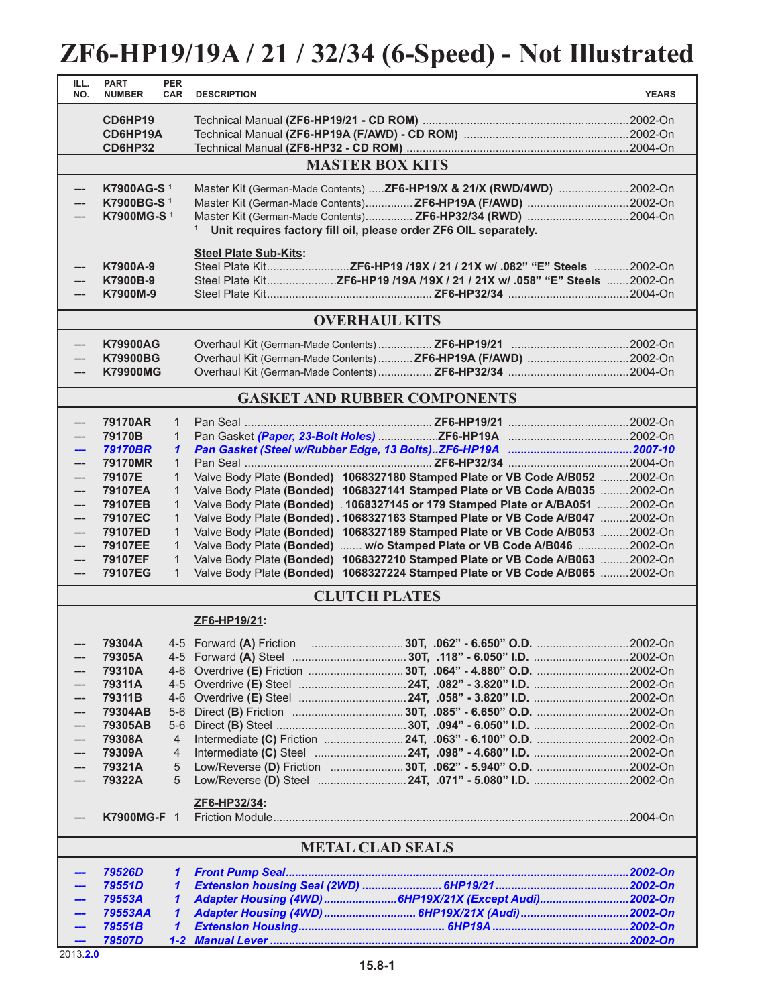## **ZF6-HP19/19A / 21 / 32/34 (6-Speed) - Not Illustrated**

| ILL.<br>NO.                         | <b>PART</b><br><b>NUMBER</b> | <b>PER</b><br><b>CAR</b>     | <b>DESCRIPTION</b>           |                                                                                                                                                                | <b>YEARS</b> |  |  |  |
|-------------------------------------|------------------------------|------------------------------|------------------------------|----------------------------------------------------------------------------------------------------------------------------------------------------------------|--------------|--|--|--|
|                                     | CD6HP19<br>CD6HP19A          |                              |                              |                                                                                                                                                                |              |  |  |  |
|                                     | <b>CD6HP32</b>               |                              |                              |                                                                                                                                                                |              |  |  |  |
|                                     |                              |                              |                              | <b>MASTER BOX KITS</b>                                                                                                                                         |              |  |  |  |
| ---                                 | K7900AG-S <sup>1</sup>       |                              |                              | Master Kit (German-Made Contents) ZF6-HP19/X & 21/X (RWD/4WD) 2002-On                                                                                          |              |  |  |  |
|                                     | K7900BG-S <sup>1</sup>       |                              |                              |                                                                                                                                                                |              |  |  |  |
|                                     | K7900MG-S <sup>1</sup>       |                              |                              | Master Kit (German-Made Contents) ZF6-HP32/34 (RWD) 2004-On                                                                                                    |              |  |  |  |
|                                     |                              |                              | 1                            | Unit requires factory fill oil, please order ZF6 OIL separately.                                                                                               |              |  |  |  |
|                                     |                              |                              | <b>Steel Plate Sub-Kits:</b> |                                                                                                                                                                |              |  |  |  |
| ---<br>---                          | K7900A-9<br>K7900B-9         |                              |                              |                                                                                                                                                                |              |  |  |  |
| ---                                 | K7900M-9                     |                              |                              |                                                                                                                                                                |              |  |  |  |
|                                     |                              |                              |                              |                                                                                                                                                                |              |  |  |  |
|                                     |                              |                              |                              | <b>OVERHAUL KITS</b>                                                                                                                                           |              |  |  |  |
| ---                                 | <b>K79900AG</b>              |                              |                              |                                                                                                                                                                |              |  |  |  |
| $---$                               | <b>K79900BG</b>              |                              |                              | Overhaul Kit (German-Made Contents)  ZF6-HP19A (F/AWD)  2002-On                                                                                                |              |  |  |  |
| $---$                               | <b>K79900MG</b>              |                              |                              |                                                                                                                                                                |              |  |  |  |
| <b>GASKET AND RUBBER COMPONENTS</b> |                              |                              |                              |                                                                                                                                                                |              |  |  |  |
| ---                                 | 79170AR                      | $\mathbf{1}$                 |                              |                                                                                                                                                                |              |  |  |  |
| $---$                               | 79170B                       | $\mathbf{1}$                 |                              |                                                                                                                                                                |              |  |  |  |
| ---                                 | <b>79170BR</b>               | $\mathbf{1}$                 |                              |                                                                                                                                                                |              |  |  |  |
| ---                                 | 79170MR                      | $\mathbf{1}$                 |                              |                                                                                                                                                                |              |  |  |  |
| ---<br>$---$                        | 79107E<br>79107EA            | 1<br>$\mathbf{1}$            |                              | Valve Body Plate (Bonded) 1068327180 Stamped Plate or VB Code A/B052  2002-On<br>Valve Body Plate (Bonded) 1068327141 Stamped Plate or VB Code A/B035  2002-On |              |  |  |  |
| $---$                               | 79107EB                      | $\mathbf{1}$                 |                              | Valve Body Plate (Bonded) . 1068327145 or 179 Stamped Plate or A/BA051  2002-On                                                                                |              |  |  |  |
| $---$                               | 79107EC                      | $\mathbf{1}$                 |                              | Valve Body Plate (Bonded) . 1068327163 Stamped Plate or VB Code A/B047 2002-On                                                                                 |              |  |  |  |
| $---$                               | 79107ED                      | 1                            |                              | Valve Body Plate (Bonded) 1068327189 Stamped Plate or VB Code A/B053  2002-On                                                                                  |              |  |  |  |
| ---<br>$\qquad \qquad - -$          | 79107EE<br>79107EF           | $\mathbf{1}$<br>$\mathbf{1}$ |                              | Valve Body Plate (Bonded)  w/o Stamped Plate or VB Code A/B046 2002-On<br>Valve Body Plate (Bonded) 1068327210 Stamped Plate or VB Code A/B063 2002-On         |              |  |  |  |
| $\qquad \qquad - -$                 | 79107EG                      | $\mathbf{1}$                 |                              | Valve Body Plate (Bonded) 1068327224 Stamped Plate or VB Code A/B065 2002-On                                                                                   |              |  |  |  |
| <b>CLUTCH PLATES</b>                |                              |                              |                              |                                                                                                                                                                |              |  |  |  |
|                                     |                              |                              | ZF6-HP19/21:                 |                                                                                                                                                                |              |  |  |  |
|                                     | 79304A                       |                              |                              |                                                                                                                                                                |              |  |  |  |
| ---                                 | 79305A                       |                              |                              |                                                                                                                                                                |              |  |  |  |
|                                     | 79310A                       | 4-6                          |                              |                                                                                                                                                                |              |  |  |  |
|                                     | 79311A                       | $4 - 5$                      |                              |                                                                                                                                                                |              |  |  |  |
|                                     | 79311B<br>79304AB            | $4-6$<br>$5-6$               |                              |                                                                                                                                                                |              |  |  |  |
|                                     | 79305AB                      | $5-6$                        |                              |                                                                                                                                                                |              |  |  |  |
|                                     | 79308A                       | 4                            |                              |                                                                                                                                                                |              |  |  |  |
|                                     | 79309A                       | 4                            |                              |                                                                                                                                                                |              |  |  |  |
| ---                                 | 79321A<br>79322A             | 5<br>5                       |                              |                                                                                                                                                                |              |  |  |  |
|                                     |                              |                              |                              |                                                                                                                                                                |              |  |  |  |
| $-\!-\!$                            | K7900MG-F 1                  |                              | ZF6-HP32/34:                 |                                                                                                                                                                |              |  |  |  |
| <b>METAL CLAD SEALS</b>             |                              |                              |                              |                                                                                                                                                                |              |  |  |  |
|                                     | 79526D                       | $\mathbf{1}$                 |                              |                                                                                                                                                                |              |  |  |  |
|                                     | 79551D                       | $\mathbf{1}$                 |                              |                                                                                                                                                                |              |  |  |  |
|                                     | 79553A                       | 1                            |                              | Adapter Housing (4WD) 6HP19X/21X (Except Audi)2002-On                                                                                                          |              |  |  |  |
|                                     | 79553AA<br>79551B            | 1<br>$\mathbf{\mathbf{1}}$   |                              |                                                                                                                                                                |              |  |  |  |
| ---                                 | 79507D                       |                              |                              |                                                                                                                                                                |              |  |  |  |